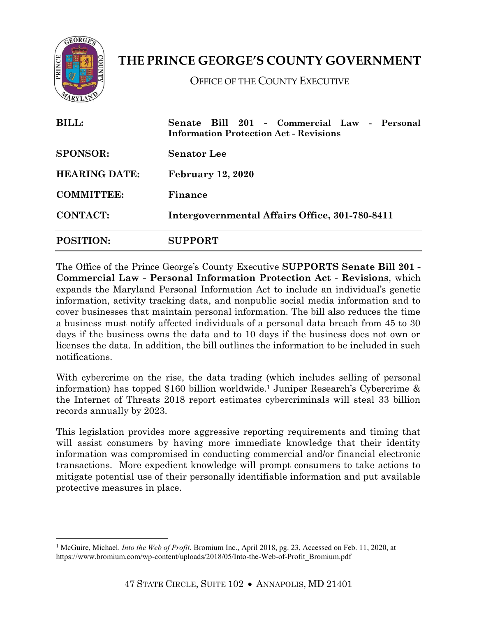

 $\overline{a}$ 

**THE PRINCE GEORGE'S COUNTY GOVERNMENT**

OFFICE OF THE COUNTY EXECUTIVE

| <b>BILL:</b>         | Senate Bill 201 - Commercial Law - Personal<br><b>Information Protection Act - Revisions</b> |
|----------------------|----------------------------------------------------------------------------------------------|
| <b>SPONSOR:</b>      | <b>Senator</b> Lee                                                                           |
| <b>HEARING DATE:</b> | <b>February 12, 2020</b>                                                                     |
| <b>COMMITTEE:</b>    | Finance                                                                                      |
| <b>CONTACT:</b>      | Intergovernmental Affairs Office, 301-780-8411                                               |
| <b>POSITION:</b>     | <b>SUPPORT</b>                                                                               |

The Office of the Prince George's County Executive **SUPPORTS Senate Bill 201 - Commercial Law - Personal Information Protection Act - Revisions**, which expands the Maryland Personal Information Act to include an individual's genetic information, activity tracking data, and nonpublic social media information and to cover businesses that maintain personal information. The bill also reduces the time a business must notify affected individuals of a personal data breach from 45 to 30 days if the business owns the data and to 10 days if the business does not own or licenses the data. In addition, the bill outlines the information to be included in such notifications.

With cybercrime on the rise, the data trading (which includes selling of personal information) has topped \$160 billion worldwide. <sup>1</sup> Juniper Research's Cybercrime & the Internet of Threats 2018 report estimates cybercriminals will steal 33 billion records annually by 2023.

This legislation provides more aggressive reporting requirements and timing that will assist consumers by having more immediate knowledge that their identity information was compromised in conducting commercial and/or financial electronic transactions. More expedient knowledge will prompt consumers to take actions to mitigate potential use of their personally identifiable information and put available protective measures in place.

<sup>1</sup> McGuire, Michael. *Into the Web of Profit*, Bromium Inc., April 2018, pg. 23, Accessed on Feb. 11, 2020, at https://www.bromium.com/wp-content/uploads/2018/05/Into-the-Web-of-Profit\_Bromium.pdf